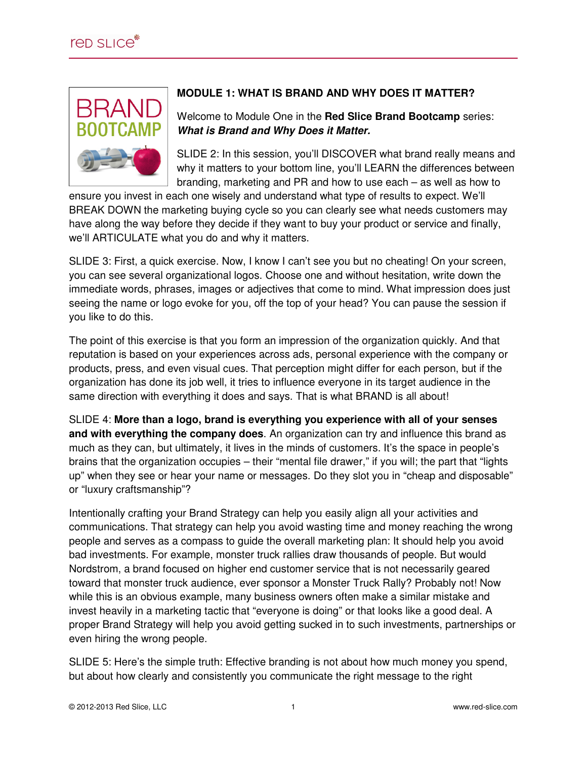

## **MODULE 1: WHAT IS BRAND AND WHY DOES IT MATTER?**

Welcome to Module One in the **Red Slice Brand Bootcamp** series: **What is Brand and Why Does it Matter.** 

SLIDE 2: In this session, you'll DISCOVER what brand really means and why it matters to your bottom line, you'll LEARN the differences between branding, marketing and PR and how to use each – as well as how to

ensure you invest in each one wisely and understand what type of results to expect. We'll BREAK DOWN the marketing buying cycle so you can clearly see what needs customers may have along the way before they decide if they want to buy your product or service and finally, we'll ARTICULATE what you do and why it matters.

SLIDE 3: First, a quick exercise. Now, I know I can't see you but no cheating! On your screen, you can see several organizational logos. Choose one and without hesitation, write down the immediate words, phrases, images or adjectives that come to mind. What impression does just seeing the name or logo evoke for you, off the top of your head? You can pause the session if you like to do this.

The point of this exercise is that you form an impression of the organization quickly. And that reputation is based on your experiences across ads, personal experience with the company or products, press, and even visual cues. That perception might differ for each person, but if the organization has done its job well, it tries to influence everyone in its target audience in the same direction with everything it does and says. That is what BRAND is all about!

SLIDE 4: **More than a logo, brand is everything you experience with all of your senses and with everything the company does**. An organization can try and influence this brand as much as they can, but ultimately, it lives in the minds of customers. It's the space in people's brains that the organization occupies – their "mental file drawer," if you will; the part that "lights up" when they see or hear your name or messages. Do they slot you in "cheap and disposable" or "luxury craftsmanship"?

Intentionally crafting your Brand Strategy can help you easily align all your activities and communications. That strategy can help you avoid wasting time and money reaching the wrong people and serves as a compass to guide the overall marketing plan: It should help you avoid bad investments. For example, monster truck rallies draw thousands of people. But would Nordstrom, a brand focused on higher end customer service that is not necessarily geared toward that monster truck audience, ever sponsor a Monster Truck Rally? Probably not! Now while this is an obvious example, many business owners often make a similar mistake and invest heavily in a marketing tactic that "everyone is doing" or that looks like a good deal. A proper Brand Strategy will help you avoid getting sucked in to such investments, partnerships or even hiring the wrong people.

SLIDE 5: Here's the simple truth: Effective branding is not about how much money you spend, but about how clearly and consistently you communicate the right message to the right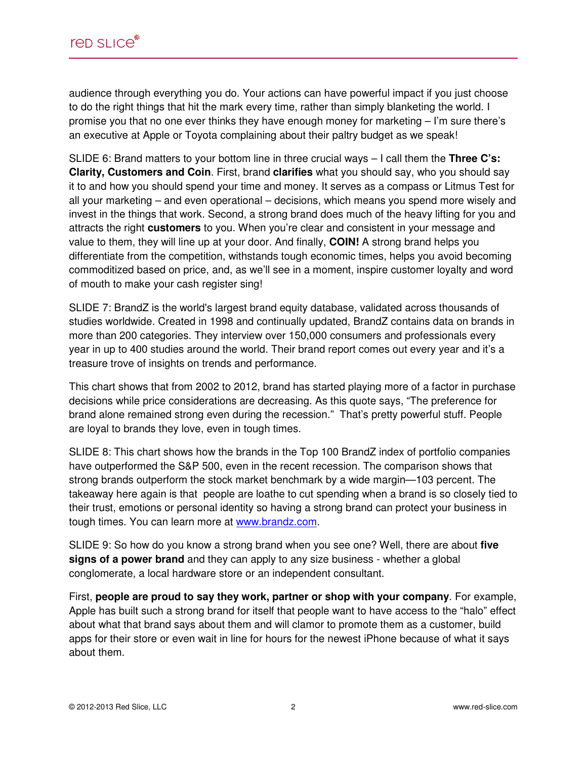audience through everything you do. Your actions can have powerful impact if you just choose to do the right things that hit the mark every time, rather than simply blanketing the world. I promise you that no one ever thinks they have enough money for marketing – I'm sure there's an executive at Apple or Toyota complaining about their paltry budget as we speak!

SLIDE 6: Brand matters to your bottom line in three crucial ways – I call them the **Three C's: Clarity, Customers and Coin**. First, brand **clarifies** what you should say, who you should say it to and how you should spend your time and money. It serves as a compass or Litmus Test for all your marketing – and even operational – decisions, which means you spend more wisely and invest in the things that work. Second, a strong brand does much of the heavy lifting for you and attracts the right **customers** to you. When you're clear and consistent in your message and value to them, they will line up at your door. And finally, **COIN!** A strong brand helps you differentiate from the competition, withstands tough economic times, helps you avoid becoming commoditized based on price, and, as we'll see in a moment, inspire customer loyalty and word of mouth to make your cash register sing!

SLIDE 7: BrandZ is the world's largest brand equity database, validated across thousands of studies worldwide. Created in 1998 and continually updated, BrandZ contains data on brands in more than 200 categories. They interview over 150,000 consumers and professionals every year in up to 400 studies around the world. Their brand report comes out every year and it's a treasure trove of insights on trends and performance.

This chart shows that from 2002 to 2012, brand has started playing more of a factor in purchase decisions while price considerations are decreasing. As this quote says, "The preference for brand alone remained strong even during the recession." That's pretty powerful stuff. People are loyal to brands they love, even in tough times.

SLIDE 8: This chart shows how the brands in the Top 100 BrandZ index of portfolio companies have outperformed the S&P 500, even in the recent recession. The comparison shows that strong brands outperform the stock market benchmark by a wide margin—103 percent. The takeaway here again is that people are loathe to cut spending when a brand is so closely tied to their trust, emotions or personal identity so having a strong brand can protect your business in tough times. You can learn more at www.brandz.com.

SLIDE 9: So how do you know a strong brand when you see one? Well, there are about **five signs of a power brand** and they can apply to any size business - whether a global conglomerate, a local hardware store or an independent consultant.

First, **people are proud to say they work, partner or shop with your company**. For example, Apple has built such a strong brand for itself that people want to have access to the "halo" effect about what that brand says about them and will clamor to promote them as a customer, build apps for their store or even wait in line for hours for the newest iPhone because of what it says about them.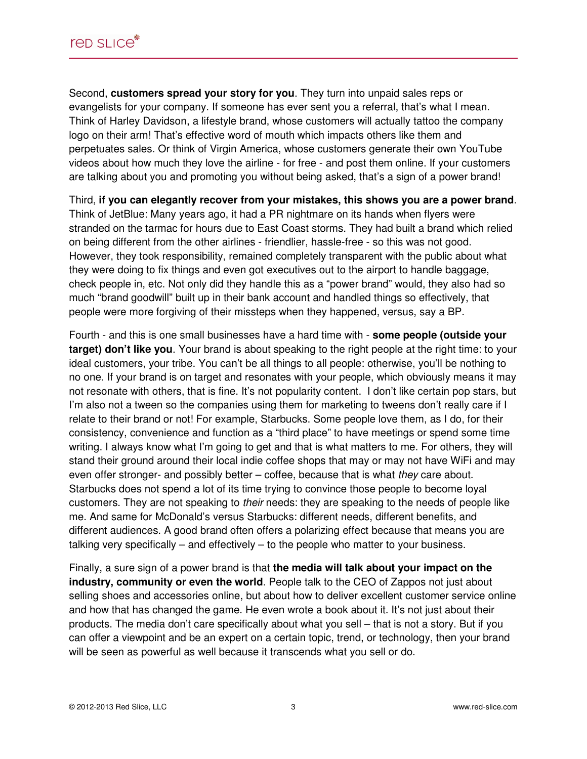Second, **customers spread your story for you**. They turn into unpaid sales reps or evangelists for your company. If someone has ever sent you a referral, that's what I mean. Think of Harley Davidson, a lifestyle brand, whose customers will actually tattoo the company logo on their arm! That's effective word of mouth which impacts others like them and perpetuates sales. Or think of Virgin America, whose customers generate their own YouTube videos about how much they love the airline - for free - and post them online. If your customers are talking about you and promoting you without being asked, that's a sign of a power brand!

Third, **if you can elegantly recover from your mistakes, this shows you are a power brand**. Think of JetBlue: Many years ago, it had a PR nightmare on its hands when flyers were stranded on the tarmac for hours due to East Coast storms. They had built a brand which relied on being different from the other airlines - friendlier, hassle-free - so this was not good. However, they took responsibility, remained completely transparent with the public about what they were doing to fix things and even got executives out to the airport to handle baggage, check people in, etc. Not only did they handle this as a "power brand" would, they also had so much "brand goodwill" built up in their bank account and handled things so effectively, that people were more forgiving of their missteps when they happened, versus, say a BP.

Fourth - and this is one small businesses have a hard time with - **some people (outside your target) don't like you**. Your brand is about speaking to the right people at the right time: to your ideal customers, your tribe. You can't be all things to all people: otherwise, you'll be nothing to no one. If your brand is on target and resonates with your people, which obviously means it may not resonate with others, that is fine. It's not popularity content. I don't like certain pop stars, but I'm also not a tween so the companies using them for marketing to tweens don't really care if I relate to their brand or not! For example, Starbucks. Some people love them, as I do, for their consistency, convenience and function as a "third place" to have meetings or spend some time writing. I always know what I'm going to get and that is what matters to me. For others, they will stand their ground around their local indie coffee shops that may or may not have WiFi and may even offer stronger- and possibly better – coffee, because that is what they care about. Starbucks does not spend a lot of its time trying to convince those people to become loyal customers. They are not speaking to their needs: they are speaking to the needs of people like me. And same for McDonald's versus Starbucks: different needs, different benefits, and different audiences. A good brand often offers a polarizing effect because that means you are talking very specifically – and effectively – to the people who matter to your business.

Finally, a sure sign of a power brand is that **the media will talk about your impact on the industry, community or even the world**. People talk to the CEO of Zappos not just about selling shoes and accessories online, but about how to deliver excellent customer service online and how that has changed the game. He even wrote a book about it. It's not just about their products. The media don't care specifically about what you sell – that is not a story. But if you can offer a viewpoint and be an expert on a certain topic, trend, or technology, then your brand will be seen as powerful as well because it transcends what you sell or do.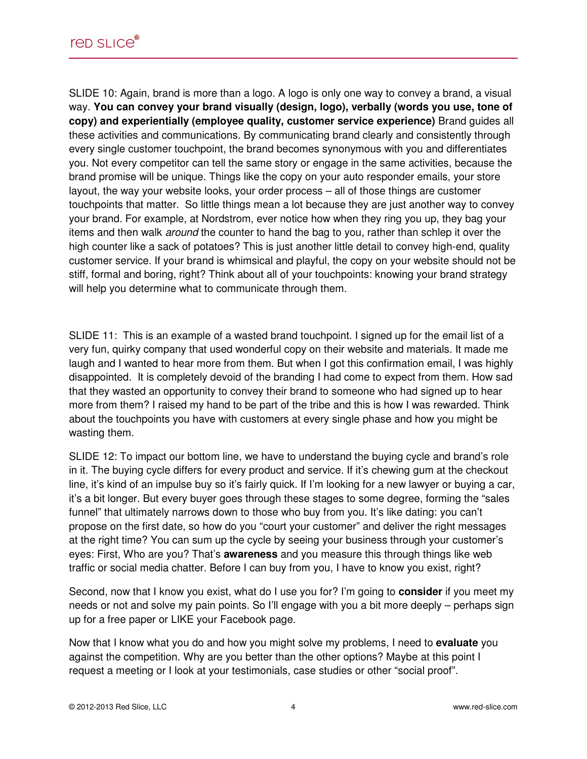SLIDE 10: Again, brand is more than a logo. A logo is only one way to convey a brand, a visual way. **You can convey your brand visually (design, logo), verbally (words you use, tone of copy) and experientially (employee quality, customer service experience)** Brand guides all these activities and communications. By communicating brand clearly and consistently through every single customer touchpoint, the brand becomes synonymous with you and differentiates you. Not every competitor can tell the same story or engage in the same activities, because the brand promise will be unique. Things like the copy on your auto responder emails, your store layout, the way your website looks, your order process – all of those things are customer touchpoints that matter. So little things mean a lot because they are just another way to convey your brand. For example, at Nordstrom, ever notice how when they ring you up, they bag your items and then walk around the counter to hand the bag to you, rather than schlep it over the high counter like a sack of potatoes? This is just another little detail to convey high-end, quality customer service. If your brand is whimsical and playful, the copy on your website should not be stiff, formal and boring, right? Think about all of your touchpoints: knowing your brand strategy will help you determine what to communicate through them.

SLIDE 11: This is an example of a wasted brand touchpoint. I signed up for the email list of a very fun, quirky company that used wonderful copy on their website and materials. It made me laugh and I wanted to hear more from them. But when I got this confirmation email, I was highly disappointed. It is completely devoid of the branding I had come to expect from them. How sad that they wasted an opportunity to convey their brand to someone who had signed up to hear more from them? I raised my hand to be part of the tribe and this is how I was rewarded. Think about the touchpoints you have with customers at every single phase and how you might be wasting them.

SLIDE 12: To impact our bottom line, we have to understand the buying cycle and brand's role in it. The buying cycle differs for every product and service. If it's chewing gum at the checkout line, it's kind of an impulse buy so it's fairly quick. If I'm looking for a new lawyer or buying a car, it's a bit longer. But every buyer goes through these stages to some degree, forming the "sales funnel" that ultimately narrows down to those who buy from you. It's like dating: you can't propose on the first date, so how do you "court your customer" and deliver the right messages at the right time? You can sum up the cycle by seeing your business through your customer's eyes: First, Who are you? That's **awareness** and you measure this through things like web traffic or social media chatter. Before I can buy from you, I have to know you exist, right?

Second, now that I know you exist, what do I use you for? I'm going to **consider** if you meet my needs or not and solve my pain points. So I'll engage with you a bit more deeply – perhaps sign up for a free paper or LIKE your Facebook page.

Now that I know what you do and how you might solve my problems, I need to **evaluate** you against the competition. Why are you better than the other options? Maybe at this point I request a meeting or I look at your testimonials, case studies or other "social proof".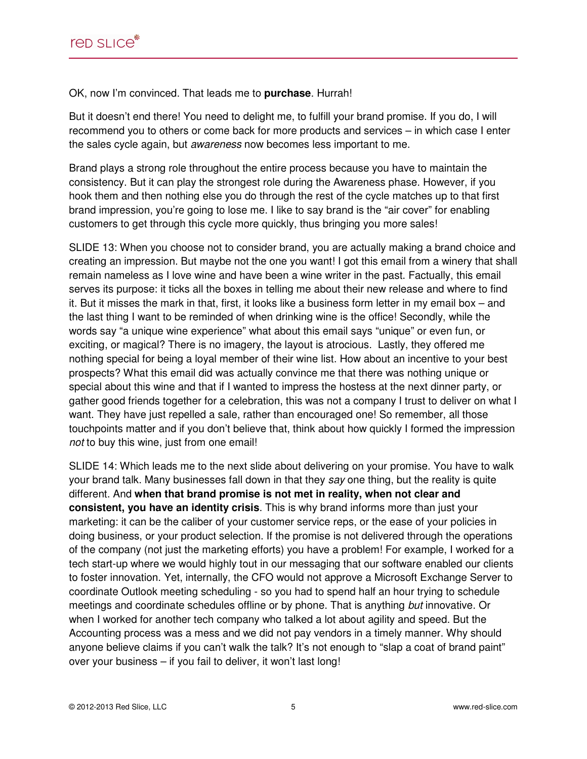OK, now I'm convinced. That leads me to **purchase**. Hurrah!

But it doesn't end there! You need to delight me, to fulfill your brand promise. If you do, I will recommend you to others or come back for more products and services – in which case I enter the sales cycle again, but awareness now becomes less important to me.

Brand plays a strong role throughout the entire process because you have to maintain the consistency. But it can play the strongest role during the Awareness phase. However, if you hook them and then nothing else you do through the rest of the cycle matches up to that first brand impression, you're going to lose me. I like to say brand is the "air cover" for enabling customers to get through this cycle more quickly, thus bringing you more sales!

SLIDE 13: When you choose not to consider brand, you are actually making a brand choice and creating an impression. But maybe not the one you want! I got this email from a winery that shall remain nameless as I love wine and have been a wine writer in the past. Factually, this email serves its purpose: it ticks all the boxes in telling me about their new release and where to find it. But it misses the mark in that, first, it looks like a business form letter in my email box – and the last thing I want to be reminded of when drinking wine is the office! Secondly, while the words say "a unique wine experience" what about this email says "unique" or even fun, or exciting, or magical? There is no imagery, the layout is atrocious. Lastly, they offered me nothing special for being a loyal member of their wine list. How about an incentive to your best prospects? What this email did was actually convince me that there was nothing unique or special about this wine and that if I wanted to impress the hostess at the next dinner party, or gather good friends together for a celebration, this was not a company I trust to deliver on what I want. They have just repelled a sale, rather than encouraged one! So remember, all those touchpoints matter and if you don't believe that, think about how quickly I formed the impression not to buy this wine, just from one email!

SLIDE 14: Which leads me to the next slide about delivering on your promise. You have to walk your brand talk. Many businesses fall down in that they say one thing, but the reality is quite different. And **when that brand promise is not met in reality, when not clear and consistent, you have an identity crisis**. This is why brand informs more than just your marketing: it can be the caliber of your customer service reps, or the ease of your policies in doing business, or your product selection. If the promise is not delivered through the operations of the company (not just the marketing efforts) you have a problem! For example, I worked for a tech start-up where we would highly tout in our messaging that our software enabled our clients to foster innovation. Yet, internally, the CFO would not approve a Microsoft Exchange Server to coordinate Outlook meeting scheduling - so you had to spend half an hour trying to schedule meetings and coordinate schedules offline or by phone. That is anything but innovative. Or when I worked for another tech company who talked a lot about agility and speed. But the Accounting process was a mess and we did not pay vendors in a timely manner. Why should anyone believe claims if you can't walk the talk? It's not enough to "slap a coat of brand paint" over your business – if you fail to deliver, it won't last long!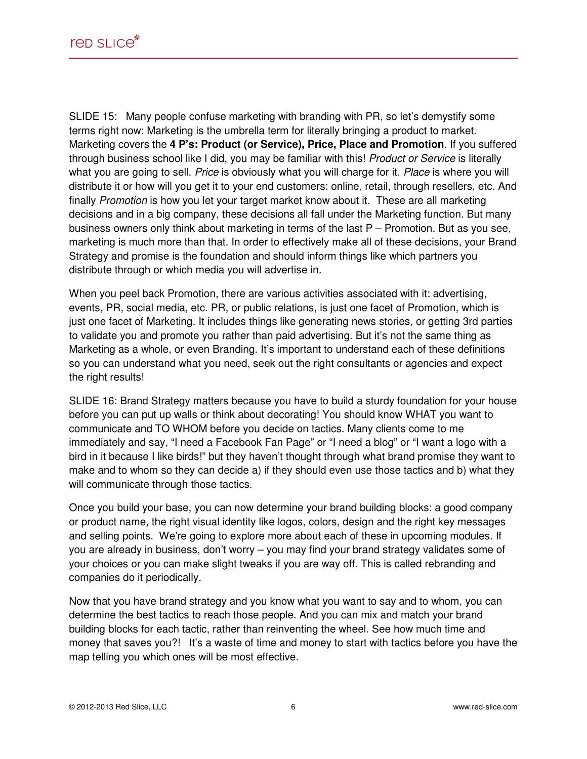SLIDE 15: Many people confuse marketing with branding with PR, so let's demystify some terms right now: Marketing is the umbrella term for literally bringing a product to market. Marketing covers the **4 P's: Product (or Service), Price, Place and Promotion**. If you suffered through business school like I did, you may be familiar with this! Product or Service is literally what you are going to sell. Price is obviously what you will charge for it. Place is where you will distribute it or how will you get it to your end customers: online, retail, through resellers, etc. And finally Promotion is how you let your target market know about it. These are all marketing decisions and in a big company, these decisions all fall under the Marketing function. But many business owners only think about marketing in terms of the last P – Promotion. But as you see, marketing is much more than that. In order to effectively make all of these decisions, your Brand Strategy and promise is the foundation and should inform things like which partners you distribute through or which media you will advertise in.

When you peel back Promotion, there are various activities associated with it: advertising, events, PR, social media, etc. PR, or public relations, is just one facet of Promotion, which is just one facet of Marketing. It includes things like generating news stories, or getting 3rd parties to validate you and promote you rather than paid advertising. But it's not the same thing as Marketing as a whole, or even Branding. It's important to understand each of these definitions so you can understand what you need, seek out the right consultants or agencies and expect the right results!

SLIDE 16: Brand Strategy matters because you have to build a sturdy foundation for your house before you can put up walls or think about decorating! You should know WHAT you want to communicate and TO WHOM before you decide on tactics. Many clients come to me immediately and say, "I need a Facebook Fan Page" or "I need a blog" or "I want a logo with a bird in it because I like birds!" but they haven't thought through what brand promise they want to make and to whom so they can decide a) if they should even use those tactics and b) what they will communicate through those tactics.

Once you build your base, you can now determine your brand building blocks: a good company or product name, the right visual identity like logos, colors, design and the right key messages and selling points. We're going to explore more about each of these in upcoming modules. If you are already in business, don't worry – you may find your brand strategy validates some of your choices or you can make slight tweaks if you are way off. This is called rebranding and companies do it periodically.

Now that you have brand strategy and you know what you want to say and to whom, you can determine the best tactics to reach those people. And you can mix and match your brand building blocks for each tactic, rather than reinventing the wheel. See how much time and money that saves you?! It's a waste of time and money to start with tactics before you have the map telling you which ones will be most effective.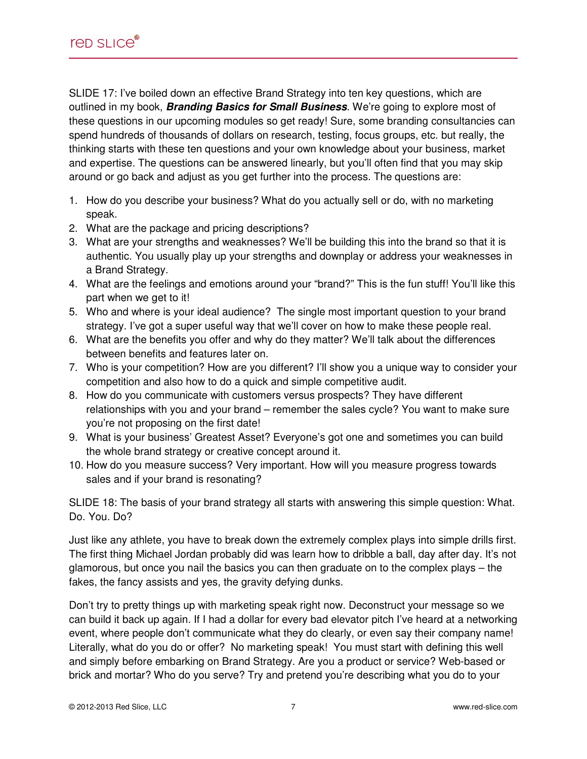SLIDE 17: I've boiled down an effective Brand Strategy into ten key questions, which are outlined in my book, **Branding Basics for Small Business**. We're going to explore most of these questions in our upcoming modules so get ready! Sure, some branding consultancies can spend hundreds of thousands of dollars on research, testing, focus groups, etc. but really, the thinking starts with these ten questions and your own knowledge about your business, market and expertise. The questions can be answered linearly, but you'll often find that you may skip around or go back and adjust as you get further into the process. The questions are:

- 1. How do you describe your business? What do you actually sell or do, with no marketing speak.
- 2. What are the package and pricing descriptions?
- 3. What are your strengths and weaknesses? We'll be building this into the brand so that it is authentic. You usually play up your strengths and downplay or address your weaknesses in a Brand Strategy.
- 4. What are the feelings and emotions around your "brand?" This is the fun stuff! You'll like this part when we get to it!
- 5. Who and where is your ideal audience? The single most important question to your brand strategy. I've got a super useful way that we'll cover on how to make these people real.
- 6. What are the benefits you offer and why do they matter? We'll talk about the differences between benefits and features later on.
- 7. Who is your competition? How are you different? I'll show you a unique way to consider your competition and also how to do a quick and simple competitive audit.
- 8. How do you communicate with customers versus prospects? They have different relationships with you and your brand – remember the sales cycle? You want to make sure you're not proposing on the first date!
- 9. What is your business' Greatest Asset? Everyone's got one and sometimes you can build the whole brand strategy or creative concept around it.
- 10. How do you measure success? Very important. How will you measure progress towards sales and if your brand is resonating?

SLIDE 18: The basis of your brand strategy all starts with answering this simple question: What. Do. You. Do?

Just like any athlete, you have to break down the extremely complex plays into simple drills first. The first thing Michael Jordan probably did was learn how to dribble a ball, day after day. It's not glamorous, but once you nail the basics you can then graduate on to the complex plays – the fakes, the fancy assists and yes, the gravity defying dunks.

Don't try to pretty things up with marketing speak right now. Deconstruct your message so we can build it back up again. If I had a dollar for every bad elevator pitch I've heard at a networking event, where people don't communicate what they do clearly, or even say their company name! Literally, what do you do or offer? No marketing speak! You must start with defining this well and simply before embarking on Brand Strategy. Are you a product or service? Web-based or brick and mortar? Who do you serve? Try and pretend you're describing what you do to your